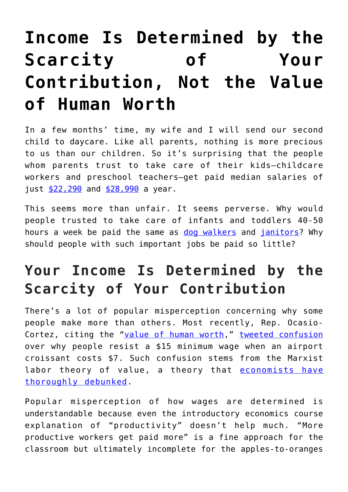# **[Income Is Determined by the](https://intellectualtakeout.org/2019/04/income-is-determined-by-the-scarcity-of-your-contribution-not-the-value-of-human-worth/) [Scarcity of Your](https://intellectualtakeout.org/2019/04/income-is-determined-by-the-scarcity-of-your-contribution-not-the-value-of-human-worth/) [Contribution, Not the Value](https://intellectualtakeout.org/2019/04/income-is-determined-by-the-scarcity-of-your-contribution-not-the-value-of-human-worth/) [of Human Worth](https://intellectualtakeout.org/2019/04/income-is-determined-by-the-scarcity-of-your-contribution-not-the-value-of-human-worth/)**

In a few months' time, my wife and I will send our second child to daycare. Like all parents, nothing is more precious to us than our children. So it's surprising that the people whom parents trust to take care of their kids—childcare workers and preschool teachers—get paid median salaries of just  $$22,290$  and  $$28,990$  a year.

This seems more than unfair. It seems perverse. Why would people trusted to take care of infants and toddlers 40-50 hours a week be paid the same as [dog walkers](https://www.bls.gov/ooh/personal-care-and-service/animal-care-and-service-workers.htm) and [janitors?](https://www.bls.gov/ooh/building-and-grounds-cleaning/janitors-and-building-cleaners.htm) Why should people with such important jobs be paid so little?

## **Your Income Is Determined by the Scarcity of Your Contribution**

There's a lot of popular misperception concerning why some people make more than others. Most recently, Rep. OcasioCortez, citing the "[value of human worth](https://twitter.com/AOC/status/1112747376308113408)," [tweeted confusion](https://twitter.com/AOC/status/1112739837822582784) over why people resist a \$15 minimum wage when an airport croissant costs \$7. Such confusion stems from the Marxist labor theory of value, a theory that [economists have](https://fee.org/articles/the-fallacy-of-intrinsic-value/) [thoroughly debunked.](https://fee.org/articles/the-fallacy-of-intrinsic-value/)

Popular misperception of how wages are determined is understandable because even the introductory economics course explanation of "productivity" doesn't help much. "More productive workers get paid more" is a fine approach for the classroom but ultimately incomplete for the apples-to-oranges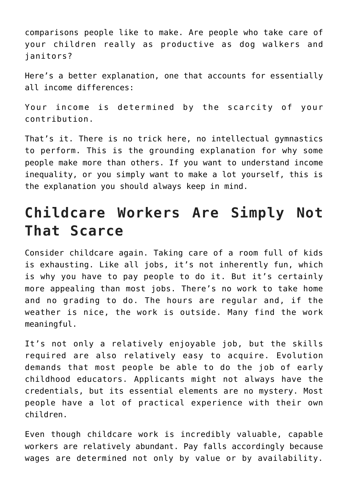comparisons people like to make. Are people who take care of your children really as productive as dog walkers and janitors?

Here's a better explanation, one that accounts for essentially all income differences:

Your income is determined by the scarcity of your contribution.

That's it. There is no trick here, no intellectual gymnastics to perform. This is the grounding explanation for why some people make more than others. If you want to understand income inequality, or you simply want to make a lot yourself, this is the explanation you should always keep in mind.

#### **Childcare Workers Are Simply Not That Scarce**

Consider childcare again. Taking care of a room full of kids is exhausting. Like all jobs, it's not inherently fun, which is why you have to pay people to do it. But it's certainly more appealing than most jobs. There's no work to take home and no grading to do. The hours are regular and, if the weather is nice, the work is outside. Many find the work meaningful.

It's not only a relatively enjoyable job, but the skills required are also relatively easy to acquire. Evolution demands that most people be able to do the job of early childhood educators. Applicants might not always have the credentials, but its essential elements are no mystery. Most people have a lot of practical experience with their own children.

Even though childcare work is incredibly valuable, capable workers are relatively abundant. Pay falls accordingly because wages are determined not only by value or by availability.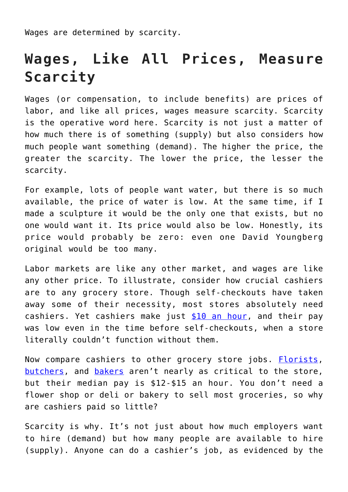Wages are determined by scarcity.

### **Wages, Like All Prices, Measure Scarcity**

Wages (or compensation, to include benefits) are prices of labor, and like all prices, wages measure scarcity. Scarcity is the operative word here. Scarcity is not just a matter of how much there is of something (supply) but also considers how much people want something (demand). The higher the price, the greater the scarcity. The lower the price, the lesser the scarcity.

For example, lots of people want water, but there is so much available, the price of water is low. At the same time, if I made a sculpture it would be the only one that exists, but no one would want it. Its price would also be low. Honestly, its price would probably be zero: even one David Youngberg original would be too many.

Labor markets are like any other market, and wages are like any other price. To illustrate, consider how crucial cashiers are to any grocery store. Though self-checkouts have taken away some of their necessity, most stores absolutely need cashiers. Yet cashiers make just [\\$10 an hour,](https://www.bls.gov/ooh/sales/cashiers.htm) and their pay was low even in the time before self-checkouts, when a store literally couldn't function without them.

Now compare cashiers to other grocery store jobs. **Florists**, [butchers,](https://www.bls.gov/ooh/production/butchers-and-meat-cutters.htm) and [bakers](https://www.bls.gov/ooh/production/bakers.htm) aren't nearly as critical to the store, but their median pay is \$12-\$15 an hour. You don't need a flower shop or deli or bakery to sell most groceries, so why are cashiers paid so little?

Scarcity is why. It's not just about how much employers want to hire (demand) but how many people are available to hire (supply). Anyone can do a cashier's job, as evidenced by the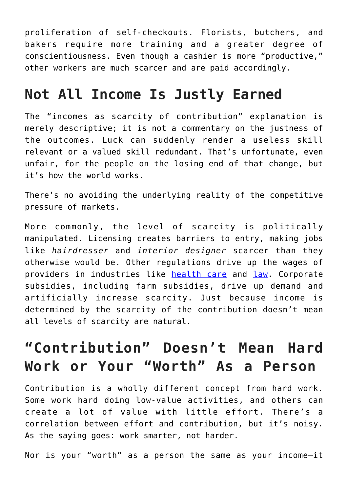proliferation of self-checkouts. Florists, butchers, and bakers require more training and a greater degree of conscientiousness. Even though a cashier is more "productive," other workers are much scarcer and are paid accordingly.

#### **Not All Income Is Justly Earned**

The "incomes as scarcity of contribution" explanation is merely descriptive; it is not a commentary on the justness of the outcomes. Luck can suddenly render a useless skill relevant or a valued skill redundant. That's unfortunate, even unfair, for the people on the losing end of that change, but it's how the world works.

There's no avoiding the underlying reality of the competitive pressure of markets.

More commonly, the level of scarcity is politically manipulated. Licensing creates barriers to entry, making jobs like *hairdresser* and *interior designer* scarcer than they otherwise would be. Other regulations drive up the wages of providers in industries like [health care](https://fee.org/articles/3-ways-regulation-makes-health-care-expensive/) and [law.](https://www.brookings.edu/opinions/deregulate-the-lawyers/) Corporate subsidies, including farm subsidies, drive up demand and artificially increase scarcity. Just because income is determined by the scarcity of the contribution doesn't mean all levels of scarcity are natural.

#### **"Contribution" Doesn't Mean Hard Work or Your "Worth" As a Person**

Contribution is a wholly different concept from hard work. Some work hard doing low-value activities, and others can create a lot of value with little effort. There's a correlation between effort and contribution, but it's noisy. As the saying goes: work smarter, not harder.

Nor is your "worth" as a person the same as your income—it